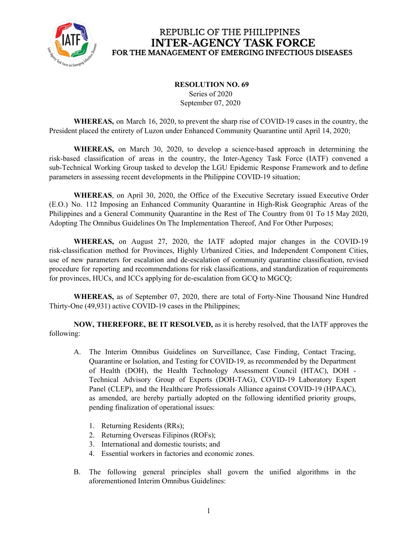

#### **RESOLUTION NO. 69** Series of 2020 September 07, 2020

**WHEREAS,** on March 16, 2020, to prevent the sharp rise of COVID-19 cases in the country, the President placed the entirety of Luzon under Enhanced Community Quarantine until April 14, 2020;

**WHEREAS,** on March 30, 2020, to develop a science-based approach in determining the risk-based classification of areas in the country, the Inter-Agency Task Force (IATF) convened a sub-Technical Working Group tasked to develop the LGU Epidemic Response Framework and to define parameters in assessing recent developments in the Philippine COVID-19 situation;

**WHEREAS**, on April 30, 2020, the Office of the Executive Secretary issued Executive Order (E.O.) No. 112 Imposing an Enhanced Community Quarantine in High-Risk Geographic Areas of the Philippines and a General Community Quarantine in the Rest of The Country from 01 To 15 May 2020, Adopting The Omnibus Guidelines On The Implementation Thereof, And For Other Purposes;

**WHEREAS,** on August 27, 2020, the IATF adopted major changes in the COVID-19 risk-classification method for Provinces, Highly Urbanized Cities, and Independent Component Cities, use of new parameters for escalation and de-escalation of community quarantine classification, revised procedure for reporting and recommendations for risk classifications, and standardization of requirements for provinces, HUCs, and ICCs applying for de-escalation from GCQ to MGCQ;

**WHEREAS,** as of September 07, 2020, there are total of Forty-Nine Thousand Nine Hundred Thirty-One (49,931) active COVID-19 cases in the Philippines;

**NOW, THEREFORE, BE IT RESOLVED,** as it is hereby resolved, that the IATF approves the following:

- A. The Interim Omnibus Guidelines on Surveillance, Case Finding, Contact Tracing, Quarantine or Isolation, and Testing for COVID-19, as recommended by the Department of Health (DOH), the Health Technology Assessment Council (HTAC), DOH - Technical Advisory Group of Experts (DOH-TAG), COVID-19 Laboratory Expert Panel (CLEP), and the Healthcare Professionals Alliance against COVID-19 (HPAAC), as amended, are hereby partially adopted on the following identified priority groups, pending finalization of operational issues:
	- 1. Returning Residents (RRs);
	- 2. Returning Overseas Filipinos (ROFs);
	- 3. International and domestic tourists; and
	- 4. Essential workers in factories and economic zones.
- B. The following general principles shall govern the unified algorithms in the aforementioned Interim Omnibus Guidelines: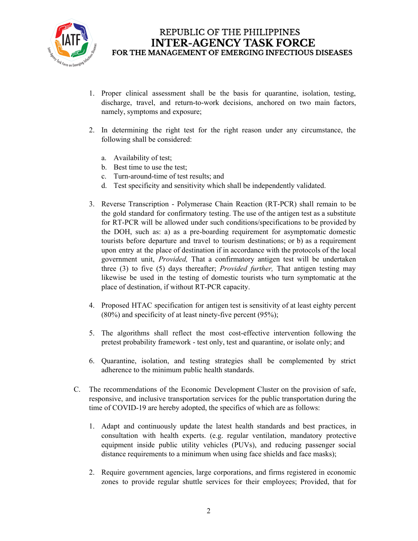

- 1. Proper clinical assessment shall be the basis for quarantine, isolation, testing, discharge, travel, and return-to-work decisions, anchored on two main factors, namely, symptoms and exposure;
- 2. In determining the right test for the right reason under any circumstance, the following shall be considered:
	- a. Availability of test;
	- b. Best time to use the test;
	- c. Turn-around-time of test results; and
	- d. Test specificity and sensitivity which shall be independently validated.
- 3. Reverse Transcription Polymerase Chain Reaction (RT-PCR) shall remain to be the gold standard for confirmatory testing. The use of the antigen test as a substitute for RT-PCR will be allowed under such conditions/specifications to be provided by the DOH, such as: a) as a pre-boarding requirement for asymptomatic domestic tourists before departure and travel to tourism destinations; or b) as a requirement upon entry at the place of destination if in accordance with the protocols of the local government unit, *Provided,* That a confirmatory antigen test will be undertaken three (3) to five (5) days thereafter; *Provided further,* That antigen testing may likewise be used in the testing of domestic tourists who turn symptomatic at the place of destination, if without RT-PCR capacity.
- 4. Proposed HTAC specification for antigen test is sensitivity of at least eighty percent  $(80\%)$  and specificity of at least ninety-five percent  $(95\%)$ ;
- 5. The algorithms shall reflect the most cost-effective intervention following the pretest probability framework - test only, test and quarantine, or isolate only; and
- 6. Quarantine, isolation, and testing strategies shall be complemented by strict adherence to the minimum public health standards.
- C. The recommendations of the Economic Development Cluster on the provision of safe, responsive, and inclusive transportation services for the public transportation during the time of COVID-19 are hereby adopted, the specifics of which are as follows:
	- 1. Adapt and continuously update the latest health standards and best practices, in consultation with health experts. (e.g. regular ventilation, mandatory protective equipment inside public utility vehicles (PUVs), and reducing passenger social distance requirements to a minimum when using face shields and face masks);
	- 2. Require government agencies, large corporations, and firms registered in economic zones to provide regular shuttle services for their employees; Provided, that for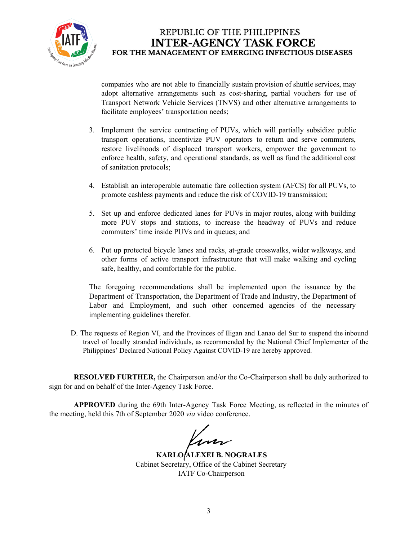

companies who are not able to financially sustain provision of shuttle services, may adopt alternative arrangements such as cost-sharing, partial vouchers for use of Transport Network Vehicle Services (TNVS) and other alternative arrangements to facilitate employees' transportation needs;

- 3. Implement the service contracting of PUVs, which will partially subsidize public transport operations, incentivize PUV operators to return and serve commuters, restore livelihoods of displaced transport workers, empower the government to enforce health, safety, and operational standards, as well as fund the additional cost of sanitation protocols;
- 4. Establish an interoperable automatic fare collection system (AFCS) for all PUVs, to promote cashless payments and reduce the risk of COVID-19 transmission;
- 5. Set up and enforce dedicated lanes for PUVs in major routes, along with building more PUV stops and stations, to increase the headway of PUVs and reduce commuters' time inside PUVs and in queues; and
- 6. Put up protected bicycle lanes and racks, at-grade crosswalks, wider walkways, and other forms of active transport infrastructure that will make walking and cycling safe, healthy, and comfortable for the public.

The foregoing recommendations shall be implemented upon the issuance by the Department of Transportation, the Department of Trade and Industry, the Department of Labor and Employment, and such other concerned agencies of the necessary implementing guidelines therefor.

D. The requests of Region VI, and the Provinces of Iligan and Lanao del Sur to suspend the inbound travel of locally stranded individuals, as recommended by the National Chief Implementer of the Philippines' Declared National Policy Against COVID-19 are hereby approved.

**RESOLVED FURTHER,** the Chairperson and/or the Co-Chairperson shall be duly authorized to sign for and on behalf of the Inter-Agency Task Force.

**APPROVED** during the 69th Inter-Agency Task Force Meeting, as reflected in the minutes of the meeting, held this 7th of September 2020 *via* video conference.

Kun

**KARLO ALEXEI B. NOGRALES** Cabinet Secretary, Office of the Cabinet Secretary IATF Co-Chairperson